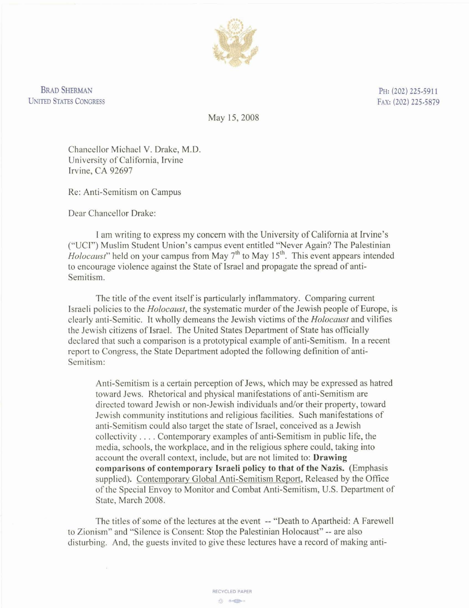

**BRAD SHERMAN UNITED STATES CONGRESS** 

**PH: (202) 225.5911 FAX: (202) 225.5879** 

May 15,2008

Chancellor Michael V. Drake, M.D. University of California, Iwine Irvine, CA 92697

Re: Anti-Semitism on Campus

Dear Chancellor Drake:

I am writing to express my concern with the University of California at Irvine's ("UCI") Muslim Student Union's campus event entitled "Never Again? The Palestinian *Holocaust*" held on your campus from May 7<sup>th</sup> to May 15<sup>th</sup>. This event appears intended to encourage violence against the State of Israel and propagate the spread of anti-Semitism.

The title of the event itself is particularly inflammatory. Comparing current Israeli policies to the *Holocaust,* the systematic murder of the Jewish people of Europe, is clearly anti-Semitic. It wholly demeans the Jewish victims of the *HoIocaust* and vilifies the Jewish citizens of Israel. The United States Department of State has officially declared that such a comparison is a prototypical example of anti-Semitism. In a recent report to Congress, the State Department adopted the following defmition of anti-Semitism:

Anti-Semitism is a certain perception of Jews, which may be expressed as hatred toward Jews. Rhetorical and physical manifestations of anti-Semitism are directed toward Jewish or non-Jewish individuals and/or their property, toward Jewish community institutions and religious facilities. Such manifestations of anti-Semitism could also target the state of Israel, conceived as a Jewish collectivity . . . . Contemporary examples of anti-Semitism in public life, the media, schools, the workplace, and in the religious sphere could, taking into account the overall context, include, but are not limited to: **Drawing comnarisons of contemnorarv Israeli nolicv to that of the Nazis.** Emohasis supplied). Contemporary Global Anti-Semitism Report, Released by the Office of the Special Envoy to Monitor and Combat Anti-Semitism, U.S. Department of State, March 2008.

The titles of some of the lectures at the event -- "Death to Apartheid: A Farewell to Zionism" and "Silence is Consent: Stop the Palestinian Holocaust" -- are also disturbing. And, the guests invited to give these lectures have a record of making anti